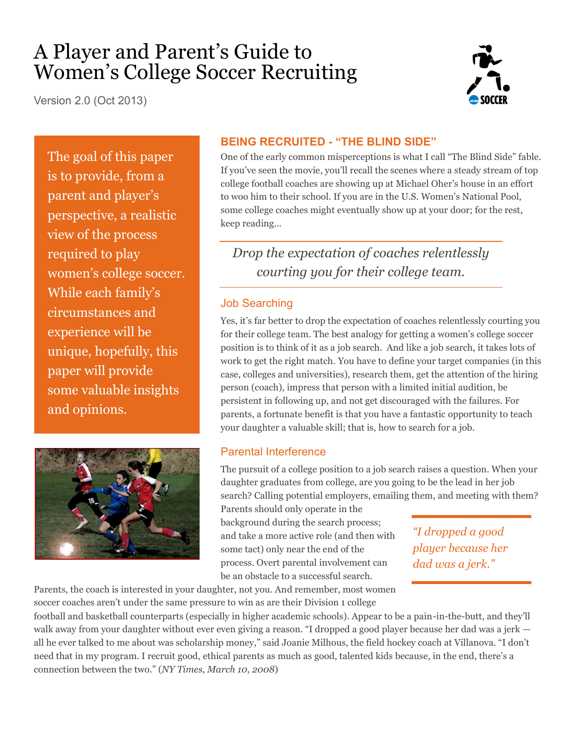# A Player and Parent's Guide to Women's College Soccer Recruiting

Version 2.0 (Oct 2013)



The goal of this paper is to provide, from a parent and player's perspective, a realistic view of the process required to play women's college soccer. While each family's circumstances and experience will be unique, hopefully, this paper will provide some valuable insights and opinions.



#### **BEING RECRUITED - "THE BLIND SIDE"**

One of the early common misperceptions is what I call "The Blind Side" fable. If you've seen the movie, you'll recall the scenes where a steady stream of top college football coaches are showing up at Michael Oher's house in an effort to woo him to their school. If you are in the U.S. Women's National Pool, some college coaches might eventually show up at your door; for the rest, keep reading…

*Drop the expectation of coaches relentlessly courting you for their college team.* 

#### Job Searching

Yes, it's far better to drop the expectation of coaches relentlessly courting you for their college team. The best analogy for getting a women's college soccer position is to think of it as a job search. And like a job search, it takes lots of work to get the right match. You have to define your target companies (in this case, colleges and universities), research them, get the attention of the hiring person (coach), impress that person with a limited initial audition, be persistent in following up, and not get discouraged with the failures. For parents, a fortunate benefit is that you have a fantastic opportunity to teach your daughter a valuable skill; that is, how to search for a job.

#### Parental Interference

The pursuit of a college position to a job search raises a question. When your daughter graduates from college, are you going to be the lead in her job search? Calling potential employers, emailing them, and meeting with them?

Parents should only operate in the background during the search process; and take a more active role (and then with some tact) only near the end of the process. Overt parental involvement can be an obstacle to a successful search.

*"I dropped a good player because her dad was a jerk."*

Parents, the coach is interested in your daughter, not you. And remember, most women soccer coaches aren't under the same pressure to win as are their Division 1 college

football and basketball counterparts (especially in higher academic schools). Appear to be a pain-in-the-butt, and they'll walk away from your daughter without ever even giving a reason. "I dropped a good player because her dad was a jerk all he ever talked to me about was scholarship money," said Joanie Milhous, the field hockey coach at Villanova. "I don't need that in my program. I recruit good, ethical parents as much as good, talented kids because, in the end, there's a connection between the two." (*NY Times, March 10, 2008*)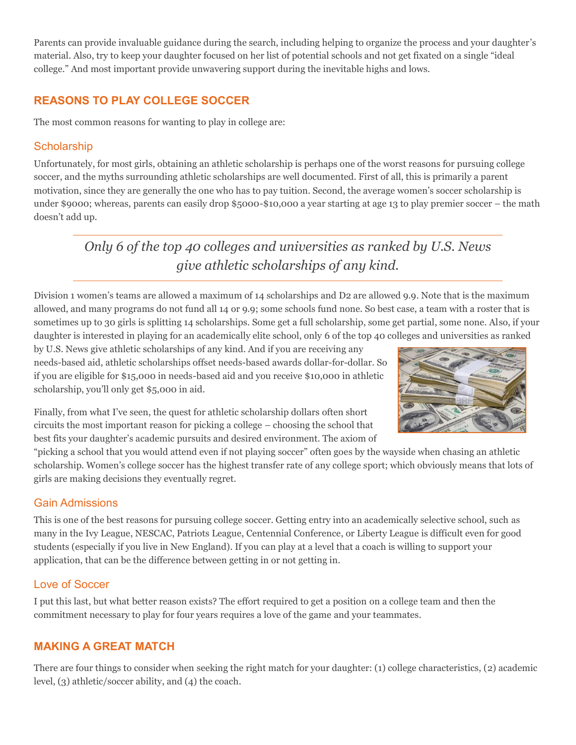Parents can provide invaluable guidance during the search, including helping to organize the process and your daughter's material. Also, try to keep your daughter focused on her list of potential schools and not get fixated on a single "ideal college." And most important provide unwavering support during the inevitable highs and lows.

## **REASONS TO PLAY COLLEGE SOCCER**

The most common reasons for wanting to play in college are:

#### **Scholarship**

Unfortunately, for most girls, obtaining an athletic scholarship is perhaps one of the worst reasons for pursuing college soccer, and the myths surrounding athletic scholarships are well documented. First of all, this is primarily a parent motivation, since they are generally the one who has to pay tuition. Second, the average women's soccer scholarship is under \$9000; whereas, parents can easily drop \$5000-\$10,000 a year starting at age 13 to play premier soccer – the math doesn't add up.

*Only 6 of the top 40 colleges and universities as ranked by U.S. News give athletic scholarships of any kind.*

Division 1 women's teams are allowed a maximum of 14 scholarships and D2 are allowed 9.9. Note that is the maximum allowed, and many programs do not fund all 14 or 9.9; some schools fund none. So best case, a team with a roster that is sometimes up to 30 girls is splitting 14 scholarships. Some get a full scholarship, some get partial, some none. Also, if your daughter is interested in playing for an academically elite school, only 6 of the top 40 colleges and universities as ranked

by U.S. News give athletic scholarships of any kind. And if you are receiving any needs-based aid, athletic scholarships offset needs-based awards dollar-for-dollar. So if you are eligible for \$15,000 in needs-based aid and you receive \$10,000 in athletic scholarship, you'll only get \$5,000 in aid.

Finally, from what I've seen, the quest for athletic scholarship dollars often short circuits the most important reason for picking a college – choosing the school that best fits your daughter's academic pursuits and desired environment. The axiom of

"picking a school that you would attend even if not playing soccer" often goes by the wayside when chasing an athletic scholarship. Women's college soccer has the highest transfer rate of any college sport; which obviously means that lots of girls are making decisions they eventually regret.

#### Gain Admissions

This is one of the best reasons for pursuing college soccer. Getting entry into an academically selective school, such as many in the Ivy League, NESCAC, Patriots League, Centennial Conference, or Liberty League is difficult even for good students (especially if you live in New England). If you can play at a level that a coach is willing to support your application, that can be the difference between getting in or not getting in.

#### Love of Soccer

I put this last, but what better reason exists? The effort required to get a position on a college team and then the commitment necessary to play for four years requires a love of the game and your teammates.

## **MAKING A GREAT MATCH**

There are four things to consider when seeking the right match for your daughter: (1) college characteristics, (2) academic level, (3) athletic/soccer ability, and (4) the coach.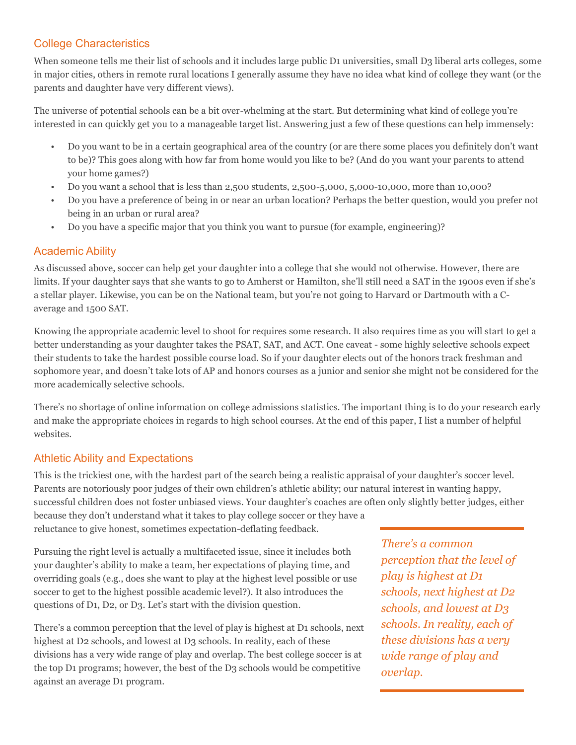## College Characteristics

When someone tells me their list of schools and it includes large public D1 universities, small D3 liberal arts colleges, some in major cities, others in remote rural locations I generally assume they have no idea what kind of college they want (or the parents and daughter have very different views).

The universe of potential schools can be a bit over-whelming at the start. But determining what kind of college you're interested in can quickly get you to a manageable target list. Answering just a few of these questions can help immensely:

- Do you want to be in a certain geographical area of the country (or are there some places you definitely don't want to be)? This goes along with how far from home would you like to be? (And do you want your parents to attend your home games?)
- Do you want a school that is less than 2,500 students, 2,500-5,000, 5,000-10,000, more than 10,000?
- Do you have a preference of being in or near an urban location? Perhaps the better question, would you prefer not being in an urban or rural area?
- Do you have a specific major that you think you want to pursue (for example, engineering)?

## Academic Ability

As discussed above, soccer can help get your daughter into a college that she would not otherwise. However, there are limits. If your daughter says that she wants to go to Amherst or Hamilton, she'll still need a SAT in the 1900s even if she's a stellar player. Likewise, you can be on the National team, but you're not going to Harvard or Dartmouth with a Caverage and 1500 SAT.

Knowing the appropriate academic level to shoot for requires some research. It also requires time as you will start to get a better understanding as your daughter takes the PSAT, SAT, and ACT. One caveat - some highly selective schools expect their students to take the hardest possible course load. So if your daughter elects out of the honors track freshman and sophomore year, and doesn't take lots of AP and honors courses as a junior and senior she might not be considered for the more academically selective schools.

There's no shortage of online information on college admissions statistics. The important thing is to do your research early and make the appropriate choices in regards to high school courses. At the end of this paper, I list a number of helpful websites.

## Athletic Ability and Expectations

This is the trickiest one, with the hardest part of the search being a realistic appraisal of your daughter's soccer level. Parents are notoriously poor judges of their own children's athletic ability; our natural interest in wanting happy, successful children does not foster unbiased views. Your daughter's coaches are often only slightly better judges, either because they don't understand what it takes to play college soccer or they have a

reluctance to give honest, sometimes expectation-deflating feedback.

Pursuing the right level is actually a multifaceted issue, since it includes both your daughter's ability to make a team, her expectations of playing time, and overriding goals (e.g., does she want to play at the highest level possible or use soccer to get to the highest possible academic level?). It also introduces the questions of D1, D2, or D3. Let's start with the division question.

There's a common perception that the level of play is highest at D1 schools, next highest at D2 schools, and lowest at D3 schools. In reality, each of these divisions has a very wide range of play and overlap. The best college soccer is at the top D1 programs; however, the best of the D3 schools would be competitive against an average D1 program.

*There's a common perception that the level of play is highest at D1 schools, next highest at D2 schools, and lowest at D3 schools. In reality, each of these divisions has a very wide range of play and overlap.*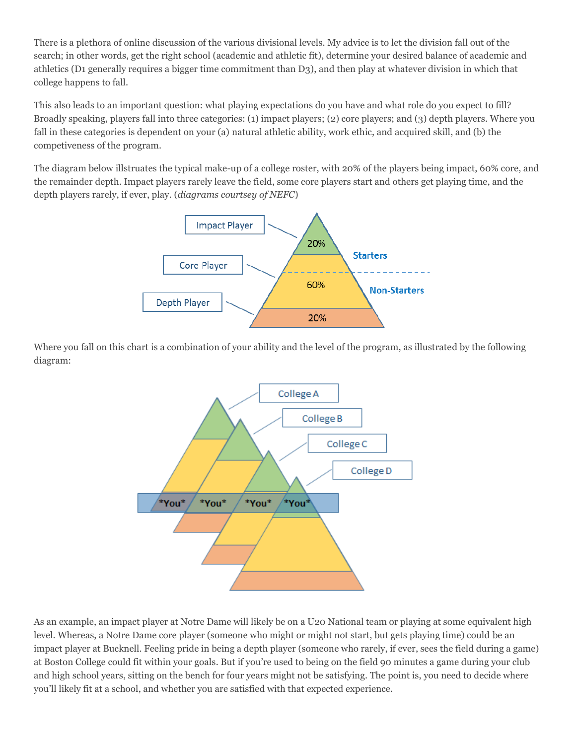There is a plethora of online discussion of the various divisional levels. My advice is to let the division fall out of the search; in other words, get the right school (academic and athletic fit), determine your desired balance of academic and athletics (D1 generally requires a bigger time commitment than D3), and then play at whatever division in which that college happens to fall.

This also leads to an important question: what playing expectations do you have and what role do you expect to fill? Broadly speaking, players fall into three categories: (1) impact players; (2) core players; and (3) depth players. Where you fall in these categories is dependent on your (a) natural athletic ability, work ethic, and acquired skill, and (b) the competiveness of the program.

The diagram below illstruates the typical make-up of a college roster, with 20% of the players being impact, 60% core, and the remainder depth. Impact players rarely leave the field, some core players start and others get playing time, and the depth players rarely, if ever, play. (*diagrams courtsey of NEFC*)



Where you fall on this chart is a combination of your ability and the level of the program, as illustrated by the following diagram:



As an example, an impact player at Notre Dame will likely be on a U20 National team or playing at some equivalent high level. Whereas, a Notre Dame core player (someone who might or might not start, but gets playing time) could be an impact player at Bucknell. Feeling pride in being a depth player (someone who rarely, if ever, sees the field during a game) at Boston College could fit within your goals. But if you're used to being on the field 90 minutes a game during your club and high school years, sitting on the bench for four years might not be satisfying. The point is, you need to decide where you'll likely fit at a school, and whether you are satisfied with that expected experience.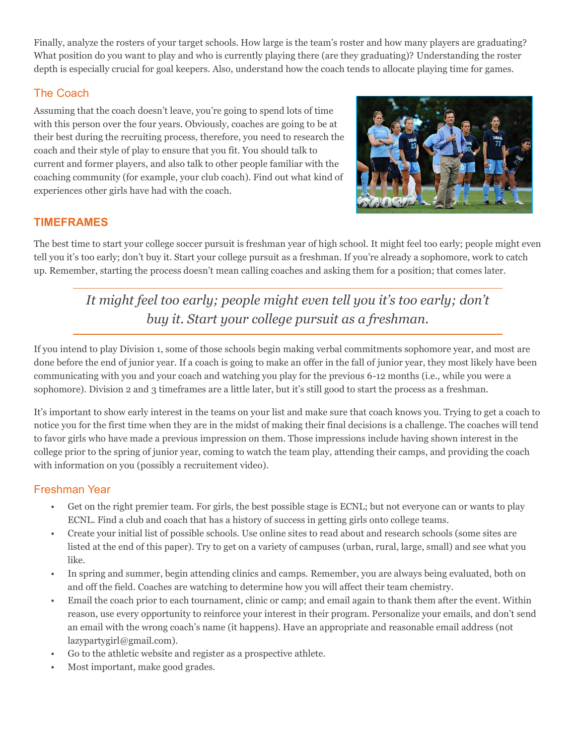Finally, analyze the rosters of your target schools. How large is the team's roster and how many players are graduating? What position do you want to play and who is currently playing there (are they graduating)? Understanding the roster depth is especially crucial for goal keepers. Also, understand how the coach tends to allocate playing time for games.

## The Coach

Assuming that the coach doesn't leave, you're going to spend lots of time with this person over the four years. Obviously, coaches are going to be at their best during the recruiting process, therefore, you need to research the coach and their style of play to ensure that you fit. You should talk to current and former players, and also talk to other people familiar with the coaching community (for example, your club coach). Find out what kind of experiences other girls have had with the coach.



## **TIMEFRAMES**

The best time to start your college soccer pursuit is freshman year of high school. It might feel too early; people might even tell you it's too early; don't buy it. Start your college pursuit as a freshman. If you're already a sophomore, work to catch up. Remember, starting the process doesn't mean calling coaches and asking them for a position; that comes later.

*It might feel too early; people might even tell you it's too early; don't buy it. Start your college pursuit as a freshman.* 

If you intend to play Division 1, some of those schools begin making verbal commitments sophomore year, and most are done before the end of junior year. If a coach is going to make an offer in the fall of junior year, they most likely have been communicating with you and your coach and watching you play for the previous 6-12 months (i.e., while you were a sophomore). Division 2 and 3 timeframes are a little later, but it's still good to start the process as a freshman.

It's important to show early interest in the teams on your list and make sure that coach knows you. Trying to get a coach to notice you for the first time when they are in the midst of making their final decisions is a challenge. The coaches will tend to favor girls who have made a previous impression on them. Those impressions include having shown interest in the college prior to the spring of junior year, coming to watch the team play, attending their camps, and providing the coach with information on you (possibly a recruitement video).

## Freshman Year

- Get on the right premier team. For girls, the best possible stage is ECNL; but not everyone can or wants to play ECNL. Find a club and coach that has a history of success in getting girls onto college teams.
- Create your initial list of possible schools. Use online sites to read about and research schools (some sites are listed at the end of this paper). Try to get on a variety of campuses (urban, rural, large, small) and see what you like.
- In spring and summer, begin attending clinics and camps. Remember, you are always being evaluated, both on and off the field. Coaches are watching to determine how you will affect their team chemistry.
- Email the coach prior to each tournament, clinic or camp; and email again to thank them after the event. Within reason, use every opportunity to reinforce your interest in their program. Personalize your emails, and don't send an email with the wrong coach's name (it happens). Have an appropriate and reasonable email address (not lazypartygirl@gmail.com).
- Go to the athletic website and register as a prospective athlete.
- Most important, make good grades.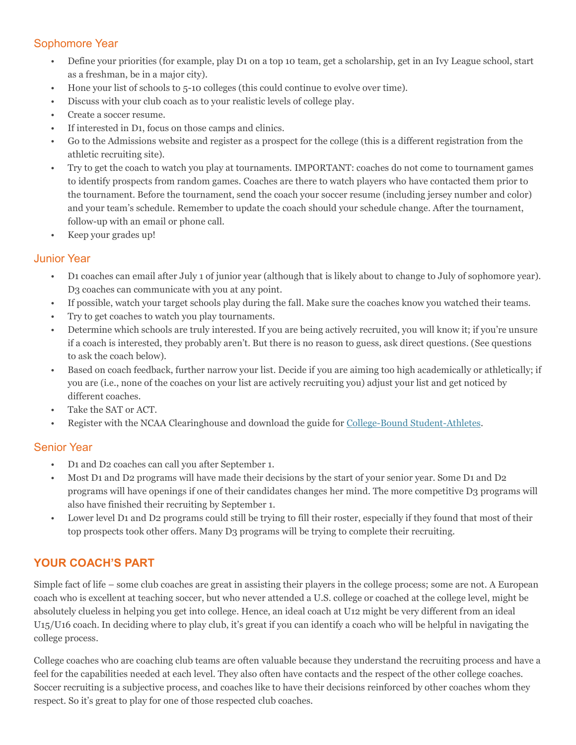#### Sophomore Year

- Define your priorities (for example, play D1 on a top 10 team, get a scholarship, get in an Ivy League school, start as a freshman, be in a major city).
- Hone your list of schools to 5-10 colleges (this could continue to evolve over time).
- Discuss with your club coach as to your realistic levels of college play.
- Create a soccer resume.
- If interested in D1, focus on those camps and clinics.
- Go to the Admissions website and register as a prospect for the college (this is a different registration from the athletic recruiting site).
- Try to get the coach to watch you play at tournaments. IMPORTANT: coaches do not come to tournament games to identify prospects from random games. Coaches are there to watch players who have contacted them prior to the tournament. Before the tournament, send the coach your soccer resume (including jersey number and color) and your team's schedule. Remember to update the coach should your schedule change. After the tournament, follow-up with an email or phone call.
- Keep your grades up!

#### Junior Year

- D1 coaches can email after July 1 of junior year (although that is likely about to change to July of sophomore year). D3 coaches can communicate with you at any point.
- If possible, watch your target schools play during the fall. Make sure the coaches know you watched their teams.
- Try to get coaches to watch you play tournaments.
- Determine which schools are truly interested. If you are being actively recruited, you will know it; if you're unsure if a coach is interested, they probably aren't. But there is no reason to guess, ask direct questions. (See questions to ask the coach below).
- Based on coach feedback, further narrow your list. Decide if you are aiming too high academically or athletically; if you are (i.e., none of the coaches on your list are actively recruiting you) adjust your list and get noticed by different coaches.
- Take the SAT or ACT.
- Register with the NCAA Clearinghouse and download the guide for [College-Bound Student-Athletes.](http://www.ncaapublications.com/p-4236-2012-13-ncaa-guide-for-the-college-bound-student-athlete-sold-as-a-packages-of-25-due-summer-2012.aspx)

#### Senior Year

- D1 and D2 coaches can call you after September 1.
- Most D1 and D2 programs will have made their decisions by the start of your senior year. Some D1 and D2 programs will have openings if one of their candidates changes her mind. The more competitive D3 programs will also have finished their recruiting by September 1.
- Lower level D1 and D2 programs could still be trying to fill their roster, especially if they found that most of their top prospects took other offers. Many D3 programs will be trying to complete their recruiting.

## **YOUR COACH'S PART**

Simple fact of life – some club coaches are great in assisting their players in the college process; some are not. A European coach who is excellent at teaching soccer, but who never attended a U.S. college or coached at the college level, might be absolutely clueless in helping you get into college. Hence, an ideal coach at U12 might be very different from an ideal U15/U16 coach. In deciding where to play club, it's great if you can identify a coach who will be helpful in navigating the college process.

College coaches who are coaching club teams are often valuable because they understand the recruiting process and have a feel for the capabilities needed at each level. They also often have contacts and the respect of the other college coaches. Soccer recruiting is a subjective process, and coaches like to have their decisions reinforced by other coaches whom they respect. So it's great to play for one of those respected club coaches.